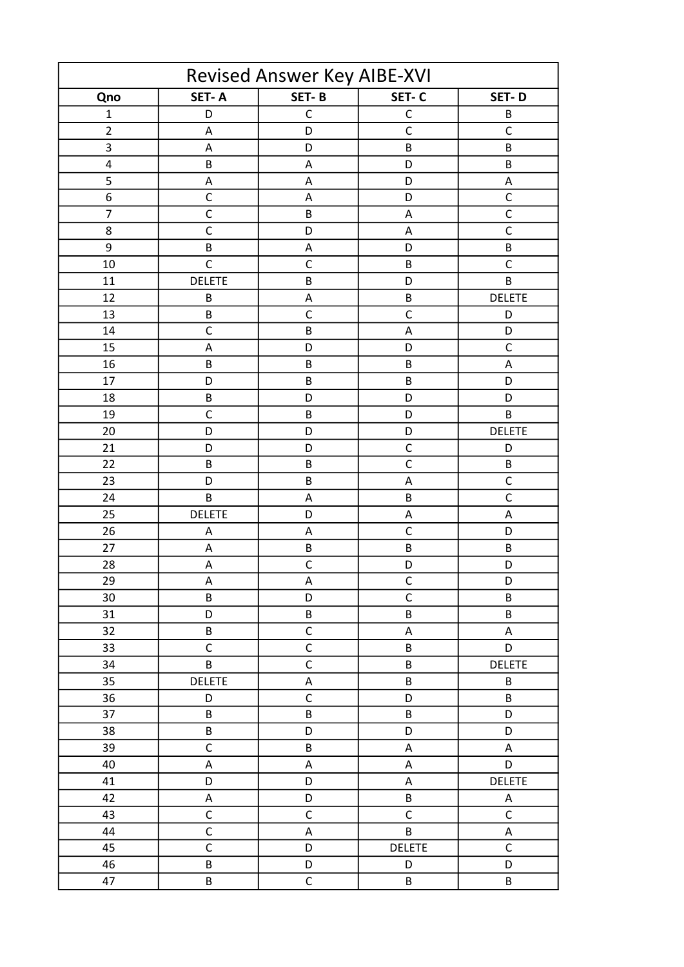| Revised Answer Key AIBE-XVI |               |                           |               |                           |  |  |  |
|-----------------------------|---------------|---------------------------|---------------|---------------------------|--|--|--|
| Qno                         | SET-A         | SET-B                     | SET-C         | SET-D                     |  |  |  |
| $\mathbf 1$                 | D             | $\mathsf C$               | $\mathsf C$   | B                         |  |  |  |
| $\overline{2}$              | A             | D                         | $\mathsf{C}$  | $\mathsf{C}$              |  |  |  |
| $\mathsf 3$                 | A             | D                         | B             | B                         |  |  |  |
| 4                           | B             | A                         | D             | B                         |  |  |  |
| 5                           | A             | $\boldsymbol{\mathsf{A}}$ | D             | $\boldsymbol{\mathsf{A}}$ |  |  |  |
| 6                           | $\mathsf{C}$  | A                         | D             | $\mathsf C$               |  |  |  |
| $\overline{7}$              | C             | B                         | A             | $\overline{\mathsf{c}}$   |  |  |  |
| 8                           | $\mathsf{C}$  | D                         | A             | $\mathsf{C}$              |  |  |  |
| 9                           | B             | A                         | D             | B                         |  |  |  |
| 10                          | $\mathsf{C}$  | $\mathsf C$               | $\sf B$       | $\overline{C}$            |  |  |  |
| 11                          | <b>DELETE</b> | B                         | D             | B                         |  |  |  |
| 12                          | $\sf B$       | $\boldsymbol{\mathsf{A}}$ | $\sf B$       | <b>DELETE</b>             |  |  |  |
| 13                          | $\sf B$       | $\mathsf C$               | $\mathsf{C}$  | D                         |  |  |  |
| 14                          | $\mathsf{C}$  | B                         | A             | D                         |  |  |  |
| 15                          | A             | D                         | D             | $\mathsf C$               |  |  |  |
| 16                          | $\sf B$       | B                         | $\sf B$       | $\boldsymbol{\mathsf{A}}$ |  |  |  |
| 17                          | D             | B                         | $\sf B$       | D                         |  |  |  |
| 18                          | $\sf B$       | D                         | D             | D                         |  |  |  |
| 19                          | $\mathsf{C}$  | B                         | D             | B                         |  |  |  |
| 20                          | D             | D                         | D             | <b>DELETE</b>             |  |  |  |
| 21                          | D             | D                         | $\mathsf{C}$  | D                         |  |  |  |
| 22                          | $\sf B$       | B                         | $\mathsf{C}$  | B                         |  |  |  |
| 23                          | D             | B                         | A             | $\mathsf{C}$              |  |  |  |
| 24                          | B             | A                         | B             | $\overline{C}$            |  |  |  |
| 25                          | <b>DELETE</b> | D                         | A             | A                         |  |  |  |
| 26                          | A             | A                         | $\mathsf{C}$  | D                         |  |  |  |
| 27                          | A             | B                         | B             | B                         |  |  |  |
| 28                          | A             | $\mathsf C$               | D             | D                         |  |  |  |
| 29                          | A             | A                         | C             | D                         |  |  |  |
| 30                          | B             | D                         | $\mathsf{C}$  | B                         |  |  |  |
| 31                          | D             | B                         | $\sf B$       | B                         |  |  |  |
| 32                          | B             | $\mathsf C$               | $\mathsf A$   | A                         |  |  |  |
| 33                          | $\mathsf C$   | $\mathsf C$               | B             | D                         |  |  |  |
| 34                          | B             | $\mathsf C$               | $\sf B$       | <b>DELETE</b>             |  |  |  |
| 35                          | <b>DELETE</b> | A                         | B             | B                         |  |  |  |
| 36                          | D             | $\mathsf C$               | D             | B                         |  |  |  |
| 37                          | B             | B                         | B             | D                         |  |  |  |
| 38                          | B             | D                         | D             | D                         |  |  |  |
| 39                          | $\mathsf{C}$  | B                         | A             | A                         |  |  |  |
| 40                          | Α             | A                         | Α             | D                         |  |  |  |
| 41                          | D             | D                         | A             | <b>DELETE</b>             |  |  |  |
| 42                          | A             | D                         | B             | A                         |  |  |  |
| 43                          | $\mathsf C$   | $\mathsf C$               | $\mathsf C$   | $\mathsf C$               |  |  |  |
| 44                          | $\mathsf C$   | A                         | B             | A                         |  |  |  |
| 45                          | $\mathsf{C}$  | D                         | <b>DELETE</b> | $\mathsf{C}$              |  |  |  |
| 46                          | B             | D                         | D             | D                         |  |  |  |
| 47                          | B             | $\mathsf C$               | B             | B                         |  |  |  |